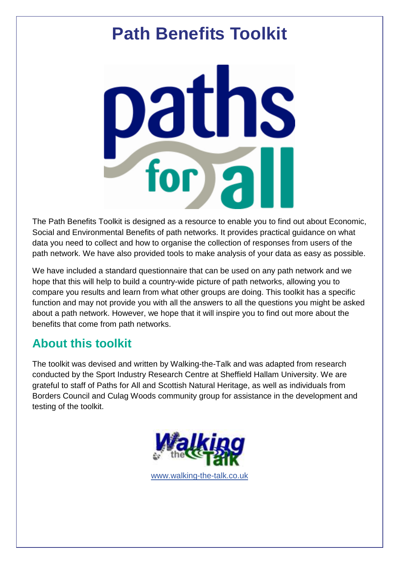# **Path Benefits Toolkit**

paths<br>for all

The Path Benefits Toolkit is designed as a resource to enable you to find out about Economic, Social and Environmental Benefits of path networks. It provides practical guidance on what data you need to collect and how to organise the collection of responses from users of the path network. We have also provided tools to make analysis of your data as easy as possible.

We have included a standard questionnaire that can be used on any path network and we hope that this will help to build a country-wide picture of path networks, allowing you to compare you results and learn from what other groups are doing. This toolkit has a specific function and may not provide you with all the answers to all the questions you might be asked about a path network. However, we hope that it will inspire you to find out more about the benefits that come from path networks.

## **About this toolkit**

The toolkit was devised and written by Walking-the-Talk and was adapted from research conducted by the Sport Industry Research Centre at Sheffield Hallam University. We are grateful to staff of Paths for All and Scottish Natural Heritage, as well as individuals from Borders Council and Culag Woods community group for assistance in the development and testing of the toolkit.

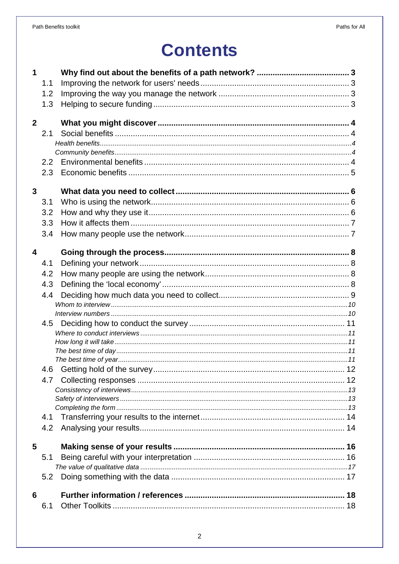## **Contents**

| $\mathbf 1$             |               |  |
|-------------------------|---------------|--|
|                         | 1.1           |  |
|                         | 1.2           |  |
|                         | 1.3           |  |
|                         |               |  |
| $\overline{2}$          |               |  |
|                         | 2.1           |  |
|                         |               |  |
|                         |               |  |
|                         | $2.2^{\circ}$ |  |
|                         | 2.3           |  |
|                         |               |  |
| $\overline{3}$          |               |  |
|                         | 3.1           |  |
|                         | 3.2           |  |
|                         | 3.3           |  |
|                         | 3.4           |  |
|                         |               |  |
| $\overline{\mathbf{4}}$ |               |  |
|                         | 4.1           |  |
|                         | 4.2           |  |
|                         | 4.3           |  |
|                         | 4.4           |  |
|                         |               |  |
|                         |               |  |
|                         | 4.5           |  |
|                         |               |  |
|                         |               |  |
|                         |               |  |
|                         |               |  |
|                         | 4.6           |  |
|                         | 4.7           |  |
|                         |               |  |
|                         |               |  |
|                         |               |  |
|                         | 4.1           |  |
|                         | 4.2           |  |
| 5                       |               |  |
|                         | 5.1           |  |
|                         |               |  |
|                         | 5.2           |  |
|                         |               |  |
| 6                       |               |  |
|                         | 6.1           |  |
|                         |               |  |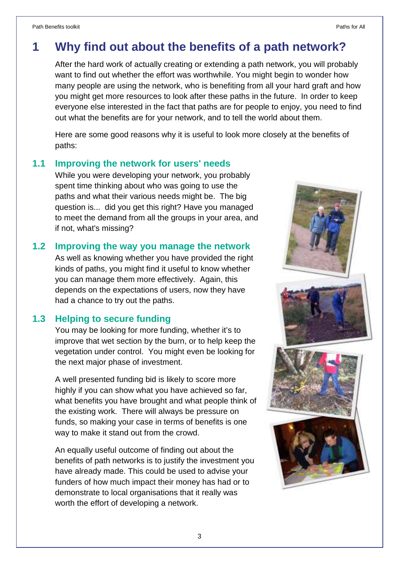## **1 Why find out about the benefits of a path network?**

After the hard work of actually creating or extending a path network, you will probably want to find out whether the effort was worthwhile. You might begin to wonder how many people are using the network, who is benefiting from all your hard graft and how you might get more resources to look after these paths in the future. In order to keep everyone else interested in the fact that paths are for people to enjoy, you need to find out what the benefits are for your network, and to tell the world about them.

Here are some good reasons why it is useful to look more closely at the benefits of paths:

#### **1.1 Improving the network for users' needs**

While you were developing your network, you probably spent time thinking about who was going to use the paths and what their various needs might be. The big question is... did you get this right? Have you managed to meet the demand from all the groups in your area, and if not, what's missing?

#### **1.2 Improving the way you manage the network**

As well as knowing whether you have provided the right kinds of paths, you might find it useful to know whether you can manage them more effectively. Again, this depends on the expectations of users, now they have had a chance to try out the paths.

#### **1.3 Helping to secure funding**

You may be looking for more funding, whether it's to improve that wet section by the burn, or to help keep the vegetation under control. You might even be looking for the next major phase of investment.

A well presented funding bid is likely to score more highly if you can show what you have achieved so far, what benefits you have brought and what people think of the existing work. There will always be pressure on funds, so making your case in terms of benefits is one way to make it stand out from the crowd.

An equally useful outcome of finding out about the benefits of path networks is to justify the investment you have already made. This could be used to advise your funders of how much impact their money has had or to demonstrate to local organisations that it really was worth the effort of developing a network.

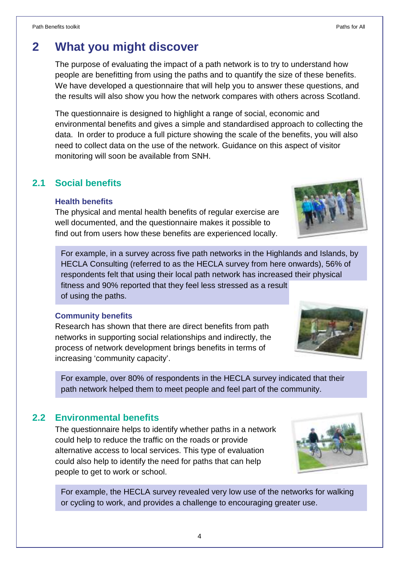## **2 What you might discover**

The purpose of evaluating the impact of a path network is to try to understand how people are benefitting from using the paths and to quantify the size of these benefits. We have developed a questionnaire that will help you to answer these questions, and the results will also show you how the network compares with others across Scotland.

The questionnaire is designed to highlight a range of social, economic and environmental benefits and gives a simple and standardised approach to collecting the data. In order to produce a full picture showing the scale of the benefits, you will also need to collect data on the use of the network. Guidance on this aspect of visitor monitoring will soon be available from SNH.

#### **2.1 Social benefits**

#### **Health benefits**

The physical and mental health benefits of regular exercise are well documented, and the questionnaire makes it possible to find out from users how these benefits are experienced locally.

For example, in a survey across five path networks in the Highlands and Islands, by HECLA Consulting (referred to as the HECLA survey from here onwards), 56% of respondents felt that using their local path network has increased their physical fitness and 90% reported that they feel less stressed as a result of using the paths.

#### **Community benefits**

Research has shown that there are direct benefits from path networks in supporting social relationships and indirectly, the process of network development brings benefits in terms of increasing 'community capacity'.

For example, over 80% of respondents in the HECLA survey indicated that their path network helped them to meet people and feel part of the community.

#### **2.2 Environmental benefits**

The questionnaire helps to identify whether paths in a network could help to reduce the traffic on the roads or provide alternative access to local services. This type of evaluation could also help to identify the need for paths that can help people to get to work or school.

For example, the HECLA survey revealed very low use of the networks for walking or cycling to work, and provides a challenge to encouraging greater use.





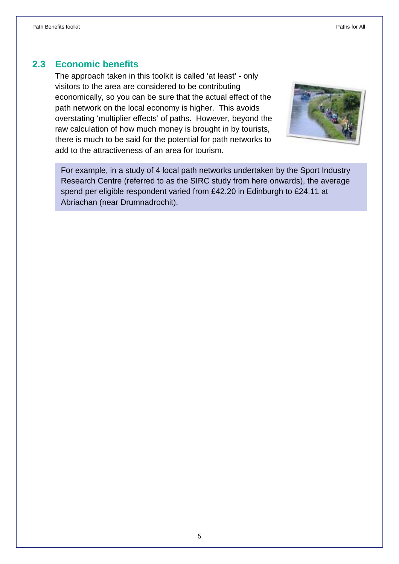#### **2.3 Economic benefits**

The approach taken in this toolkit is called 'at least' - only visitors to the area are considered to be contributing economically, so you can be sure that the actual effect of the path network on the local economy is higher. This avoids overstating 'multiplier effects' of paths. However, beyond the raw calculation of how much money is brought in by tourists, there is much to be said for the potential for path networks to add to the attractiveness of an area for tourism.



For example, in a study of 4 local path networks undertaken by the Sport Industry Research Centre (referred to as the SIRC study from here onwards), the average spend per eligible respondent varied from £42.20 in Edinburgh to £24.11 at Abriachan (near Drumnadrochit).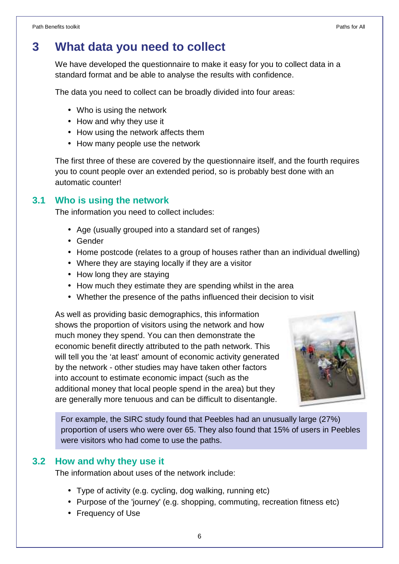## **3 What data you need to collect**

We have developed the questionnaire to make it easy for you to collect data in a standard format and be able to analyse the results with confidence.

The data you need to collect can be broadly divided into four areas:

- Who is using the network
- How and why they use it
- How using the network affects them
- How many people use the network

The first three of these are covered by the questionnaire itself, and the fourth requires you to count people over an extended period, so is probably best done with an automatic counter!

#### **3.1 Who is using the network**

The information you need to collect includes:

- Age (usually grouped into a standard set of ranges)
- Gender
- Home postcode (relates to a group of houses rather than an individual dwelling)
- Where they are staying locally if they are a visitor
- How long they are staying
- How much they estimate they are spending whilst in the area
- Whether the presence of the paths influenced their decision to visit

As well as providing basic demographics, this information shows the proportion of visitors using the network and how much money they spend. You can then demonstrate the economic benefit directly attributed to the path network. This will tell you the 'at least' amount of economic activity generated by the network - other studies may have taken other factors into account to estimate economic impact (such as the additional money that local people spend in the area) but they are generally more tenuous and can be difficult to disentangle.



For example, the SIRC study found that Peebles had an unusually large (27%) proportion of users who were over 65. They also found that 15% of users in Peebles were visitors who had come to use the paths.

#### **3.2 How and why they use it**

The information about uses of the network include:

- Type of activity (e.g. cycling, dog walking, running etc)
- Purpose of the 'journey' (e.g. shopping, commuting, recreation fitness etc)
- Frequency of Use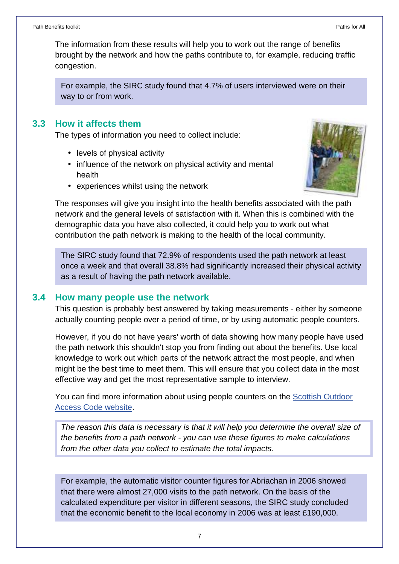The information from these results will help you to work out the range of benefits brought by the network and how the paths contribute to, for example, reducing traffic congestion.

For example, the SIRC study found that 4.7% of users interviewed were on their way to or from work.

#### **3.3 How it affects them**

The types of information you need to collect include:

- levels of physical activity
- influence of the network on physical activity and mental health
- experiences whilst using the network



The responses will give you insight into the health benefits associated with the path network and the general levels of satisfaction with it. When this is combined with the demographic data you have also collected, it could help you to work out what contribution the path network is making to the health of the local community.

The SIRC study found that 72.9% of respondents used the path network at least once a week and that overall 38.8% had significantly increased their physical activity as a result of having the path network available.

#### **3.4 How many people use the network**

This question is probably best answered by taking measurements - either by someone actually counting people over a period of time, or by using automatic people counters.

However, if you do not have years' worth of data showing how many people have used the path network this shouldn't stop you from finding out about the benefits. Use local knowledge to work out which parts of the network attract the most people, and when might be the best time to meet them. This will ensure that you collect data in the most effective way and get the most representative sample to interview.

You can find more information about using people counters on the Scottish Outdoor Access Code website.

The reason this data is necessary is that it will help you determine the overall size of the benefits from a path network - you can use these figures to make calculations from the other data you collect to estimate the total impacts.

For example, the automatic visitor counter figures for Abriachan in 2006 showed that there were almost 27,000 visits to the path network. On the basis of the calculated expenditure per visitor in different seasons, the SIRC study concluded that the economic benefit to the local economy in 2006 was at least £190,000.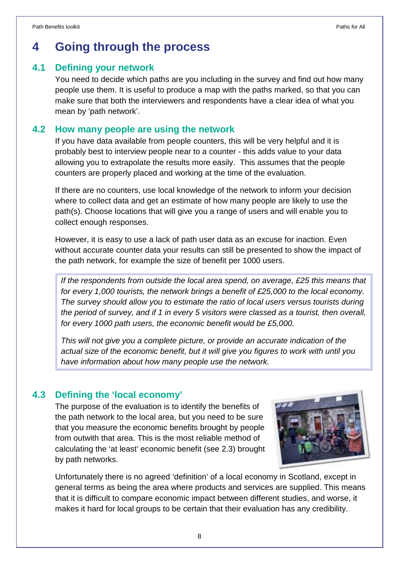### **4 Going through the process**

#### **4.1 Defining your network**

You need to decide which paths are you including in the survey and find out how many people use them. It is useful to produce a map with the paths marked, so that you can make sure that both the interviewers and respondents have a clear idea of what you mean by 'path network'.

#### **4.2 How many people are using the network**

If you have data available from people counters, this will be very helpful and it is probably best to interview people near to a counter - this adds value to your data allowing you to extrapolate the results more easily. This assumes that the people counters are properly placed and working at the time of the evaluation.

If there are no counters, use local knowledge of the network to inform your decision where to collect data and get an estimate of how many people are likely to use the path(s). Choose locations that will give you a range of users and will enable you to collect enough responses.

However, it is easy to use a lack of path user data as an excuse for inaction. Even without accurate counter data your results can still be presented to show the impact of the path network, for example the size of benefit per 1000 users.

If the respondents from outside the local area spend, on average, £25 this means that for every 1,000 tourists, the network brings a benefit of £25,000 to the local economy. The survey should allow you to estimate the ratio of local users versus tourists during the period of survey, and if 1 in every 5 visitors were classed as a tourist, then overall, for every 1000 path users, the economic benefit would be £5,000.

This will not give you a complete picture, or provide an accurate indication of the actual size of the economic benefit, but it will give you figures to work with until you have information about how many people use the network.

#### **4.3 Defining the 'local economy'**

The purpose of the evaluation is to identify the benefits of the path network to the local area, but you need to be sure that you measure the economic benefits brought by people from outwith that area. This is the most reliable method of calculating the 'at least' economic benefit (see 2.3) brought by path networks.



Unfortunately there is no agreed 'definition' of a local economy in Scotland, except in general terms as being the area where products and services are supplied. This means that it is difficult to compare economic impact between different studies, and worse, it makes it hard for local groups to be certain that their evaluation has any credibility.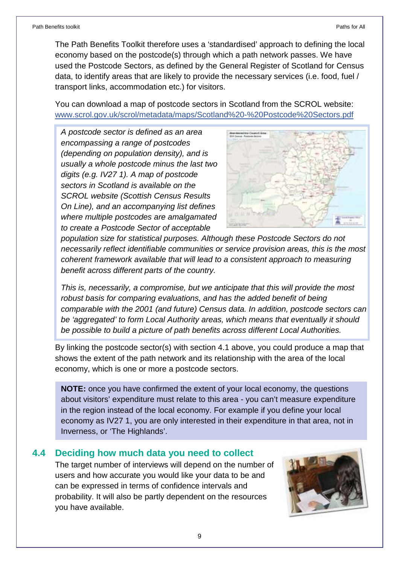The Path Benefits Toolkit therefore uses a 'standardised' approach to defining the local economy based on the postcode(s) through which a path network passes. We have used the Postcode Sectors, as defined by the General Register of Scotland for Census data, to identify areas that are likely to provide the necessary services (i.e. food, fuel / transport links, accommodation etc.) for visitors.

You can download a map of postcode sectors in Scotland from the SCROL website: www.scrol.gov.uk/scrol/metadata/maps/Scotland%20-%20Postcode%20Sectors.pdf

A postcode sector is defined as an area encompassing a range of postcodes (depending on population density), and is usually a whole postcode minus the last two digits (e.g. IV27 1). A map of postcode sectors in Scotland is available on the SCROL website (Scottish Census Results On Line), and an accompanying list defines where multiple postcodes are amalgamated to create a Postcode Sector of acceptable



population size for statistical purposes. Although these Postcode Sectors do not necessarily reflect identifiable communities or service provision areas, this is the most coherent framework available that will lead to a consistent approach to measuring benefit across different parts of the country.

This is, necessarily, a compromise, but we anticipate that this will provide the most robust basis for comparing evaluations, and has the added benefit of being comparable with the 2001 (and future) Census data. In addition, postcode sectors can be 'aggregated' to form Local Authority areas, which means that eventually it should be possible to build a picture of path benefits across different Local Authorities.

By linking the postcode sector(s) with section 4.1 above, you could produce a map that shows the extent of the path network and its relationship with the area of the local economy, which is one or more a postcode sectors.

**NOTE:** once you have confirmed the extent of your local economy, the questions about visitors' expenditure must relate to this area - you can't measure expenditure in the region instead of the local economy. For example if you define your local economy as IV27 1, you are only interested in their expenditure in that area, not in Inverness, or 'The Highlands'.

#### **4.4 Deciding how much data you need to collect**

The target number of interviews will depend on the number of users and how accurate you would like your data to be and can be expressed in terms of confidence intervals and probability. It will also be partly dependent on the resources you have available.

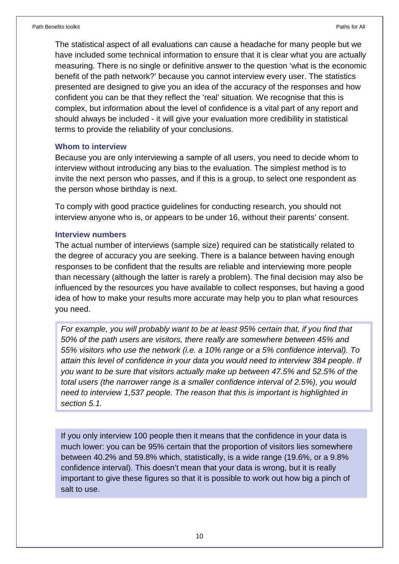The statistical aspect of all evaluations can cause a headache for many people but we have included some technical information to ensure that it is clear what you are actually measuring. There is no single or definitive answer to the question 'what is the economic benefit of the path network?' because you cannot interview every user. The statistics presented are designed to give you an idea of the accuracy of the responses and how confident you can be that they reflect the 'real' situation. We recognise that this is complex, but information about the level of confidence is a vital part of any report and should always be included - it will give your evaluation more credibility in statistical terms to provide the reliability of your conclusions.

#### **Whom to interview**

Because you are only interviewing a sample of all users, you need to decide whom to interview without introducing any bias to the evaluation. The simplest method is to invite the next person who passes, and if this is a group, to select one respondent as the person whose birthday is next.

To comply with good practice guidelines for conducting research, you should not interview anyone who is, or appears to be under 16, without their parents' consent.

#### **Interview numbers**

The actual number of interviews (sample size) required can be statistically related to the degree of accuracy you are seeking. There is a balance between having enough responses to be confident that the results are reliable and interviewing more people than necessary (although the latter is rarely a problem). The final decision may also be influenced by the resources you have available to collect responses, but having a good idea of how to make your results more accurate may help you to plan what resources you need.

For example, you will probably want to be at least 95% certain that, if you find that 50% of the path users are visitors, there really are somewhere between 45% and 55% visitors who use the network (i.e. a 10% range or a 5% confidence interval). To attain this level of confidence in your data you would need to interview 384 people. If you want to be sure that visitors actually make up between 47.5% and 52.5% of the total users (the narrower range is a smaller confidence interval of 2.5%), you would need to interview 1,537 people. The reason that this is important is highlighted in section 5.1.

If you only interview 100 people then it means that the confidence in your data is much lower: you can be 95% certain that the proportion of visitors lies somewhere between 40.2% and 59.8% which, statistically, is a wide range (19.6%, or a 9.8% confidence interval). This doesn't mean that your data is wrong, but it is really important to give these figures so that it is possible to work out how big a pinch of salt to use.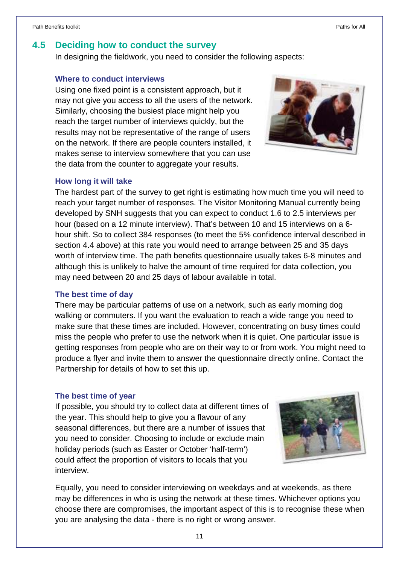#### **4.5 Deciding how to conduct the survey**

In designing the fieldwork, you need to consider the following aspects:

#### **Where to conduct interviews**

Using one fixed point is a consistent approach, but it may not give you access to all the users of the network. Similarly, choosing the busiest place might help you reach the target number of interviews quickly, but the results may not be representative of the range of users on the network. If there are people counters installed, it makes sense to interview somewhere that you can use the data from the counter to aggregate your results.



#### **How long it will take**

The hardest part of the survey to get right is estimating how much time you will need to reach your target number of responses. The Visitor Monitoring Manual currently being developed by SNH suggests that you can expect to conduct 1.6 to 2.5 interviews per hour (based on a 12 minute interview). That's between 10 and 15 interviews on a 6 hour shift. So to collect 384 responses (to meet the 5% confidence interval described in section 4.4 above) at this rate you would need to arrange between 25 and 35 days worth of interview time. The path benefits questionnaire usually takes 6-8 minutes and although this is unlikely to halve the amount of time required for data collection, you may need between 20 and 25 days of labour available in total.

#### **The best time of day**

There may be particular patterns of use on a network, such as early morning dog walking or commuters. If you want the evaluation to reach a wide range you need to make sure that these times are included. However, concentrating on busy times could miss the people who prefer to use the network when it is quiet. One particular issue is getting responses from people who are on their way to or from work. You might need to produce a flyer and invite them to answer the questionnaire directly online. Contact the Partnership for details of how to set this up.

#### **The best time of year**

If possible, you should try to collect data at different times of the year. This should help to give you a flavour of any seasonal differences, but there are a number of issues that you need to consider. Choosing to include or exclude main holiday periods (such as Easter or October 'half-term') could affect the proportion of visitors to locals that you interview.



Equally, you need to consider interviewing on weekdays and at weekends, as there may be differences in who is using the network at these times. Whichever options you choose there are compromises, the important aspect of this is to recognise these when you are analysing the data - there is no right or wrong answer.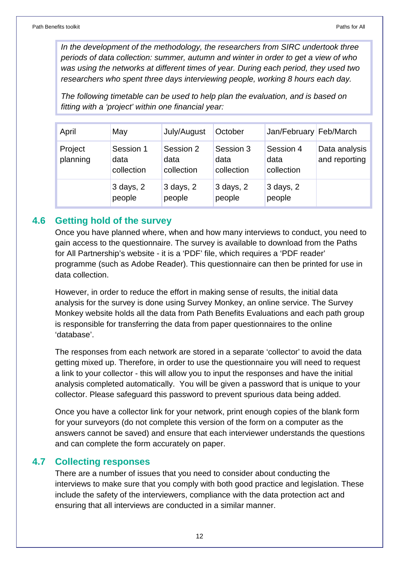In the development of the methodology, the researchers from SIRC undertook three periods of data collection: summer, autumn and winter in order to get a view of who was using the networks at different times of year. During each period, they used two researchers who spent three days interviewing people, working 8 hours each day.

The following timetable can be used to help plan the evaluation, and is based on fitting with a 'project' within one financial year:

| April               | May                             | July/August                     | October                         | Jan/February Feb/March          |                                |
|---------------------|---------------------------------|---------------------------------|---------------------------------|---------------------------------|--------------------------------|
| Project<br>planning | Session 1<br>data<br>collection | Session 2<br>data<br>collection | Session 3<br>data<br>collection | Session 4<br>data<br>collection | Data analysis<br>and reporting |
|                     | $3$ days, $2$<br>people         | $3$ days, $2$<br>people         | $3$ days, $2$<br>people         | 3 days, 2<br>people             |                                |

#### **4.6 Getting hold of the survey**

Once you have planned where, when and how many interviews to conduct, you need to gain access to the questionnaire. The survey is available to download from the Paths for All Partnership's website - it is a 'PDF' file, which requires a 'PDF reader' programme (such as Adobe Reader). This questionnaire can then be printed for use in data collection.

However, in order to reduce the effort in making sense of results, the initial data analysis for the survey is done using Survey Monkey, an online service. The Survey Monkey website holds all the data from Path Benefits Evaluations and each path group is responsible for transferring the data from paper questionnaires to the online 'database'.

The responses from each network are stored in a separate 'collector' to avoid the data getting mixed up. Therefore, in order to use the questionnaire you will need to request a link to your collector - this will allow you to input the responses and have the initial analysis completed automatically. You will be given a password that is unique to your collector. Please safeguard this password to prevent spurious data being added.

Once you have a collector link for your network, print enough copies of the blank form for your surveyors (do not complete this version of the form on a computer as the answers cannot be saved) and ensure that each interviewer understands the questions and can complete the form accurately on paper.

#### **4.7 Collecting responses**

There are a number of issues that you need to consider about conducting the interviews to make sure that you comply with both good practice and legislation. These include the safety of the interviewers, compliance with the data protection act and ensuring that all interviews are conducted in a similar manner.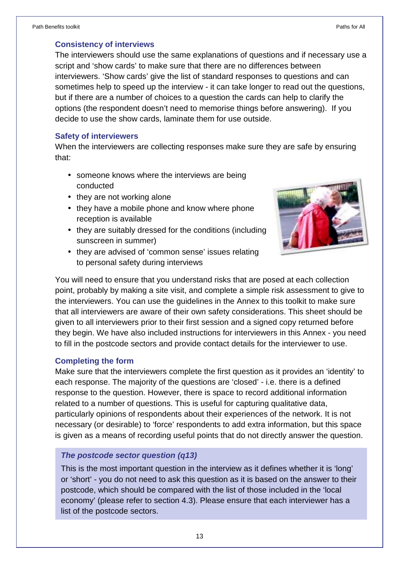#### **Consistency of interviews**

The interviewers should use the same explanations of questions and if necessary use a script and 'show cards' to make sure that there are no differences between interviewers. 'Show cards' give the list of standard responses to questions and can sometimes help to speed up the interview - it can take longer to read out the questions, but if there are a number of choices to a question the cards can help to clarify the options (the respondent doesn't need to memorise things before answering). If you decide to use the show cards, laminate them for use outside.

#### **Safety of interviewers**

When the interviewers are collecting responses make sure they are safe by ensuring that:

- someone knows where the interviews are being conducted
- they are not working alone
- they have a mobile phone and know where phone reception is available
- they are suitably dressed for the conditions (including sunscreen in summer)
- they are advised of 'common sense' issues relating to personal safety during interviews



You will need to ensure that you understand risks that are posed at each collection point, probably by making a site visit, and complete a simple risk assessment to give to the interviewers. You can use the guidelines in the Annex to this toolkit to make sure that all interviewers are aware of their own safety considerations. This sheet should be given to all interviewers prior to their first session and a signed copy returned before they begin. We have also included instructions for interviewers in this Annex - you need to fill in the postcode sectors and provide contact details for the interviewer to use.

#### **Completing the form**

Make sure that the interviewers complete the first question as it provides an 'identity' to each response. The majority of the questions are 'closed' - i.e. there is a defined response to the question. However, there is space to record additional information related to a number of questions. This is useful for capturing qualitative data, particularly opinions of respondents about their experiences of the network. It is not necessary (or desirable) to 'force' respondents to add extra information, but this space is given as a means of recording useful points that do not directly answer the question.

#### **The postcode sector question (q13)**

This is the most important question in the interview as it defines whether it is 'long' or 'short' - you do not need to ask this question as it is based on the answer to their postcode, which should be compared with the list of those included in the 'local economy' (please refer to section 4.3). Please ensure that each interviewer has a list of the postcode sectors.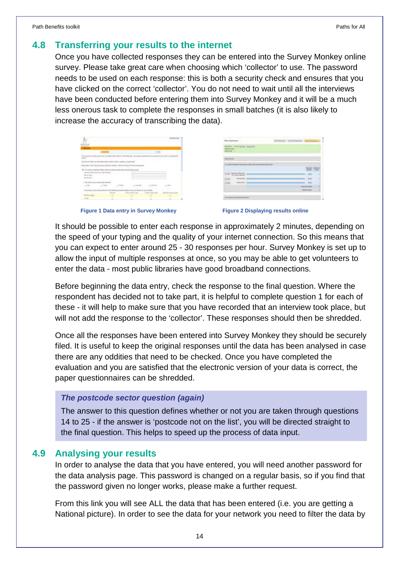#### **4.8 Transferring your results to the internet**

Once you have collected responses they can be entered into the Survey Monkey online survey. Please take great care when choosing which 'collector' to use. The password needs to be used on each response: this is both a security check and ensures that you have clicked on the correct 'collector'. You do not need to wait until all the interviews have been conducted before entering them into Survey Monkey and it will be a much less onerous task to complete the responses in small batches (it is also likely to increase the accuracy of transcribing the data).

|                                             |             | $-4 - 1$ |         |
|---------------------------------------------|-------------|----------|---------|
|                                             |             | mar      |         |
|                                             |             |          | z.<br>w |
|                                             |             |          |         |
|                                             | in in       |          |         |
| <b>STATISTICS</b><br>×<br><b>STATISTICS</b> |             |          |         |
|                                             |             |          |         |
|                                             |             |          |         |
|                                             |             |          |         |
|                                             |             |          |         |
|                                             | <b>STER</b> |          |         |
|                                             |             |          |         |
|                                             |             |          |         |

**Figure 1 Data entry in Survey Monkey Manual Communist Property Property Property Property Property Property** 

It should be possible to enter each response in approximately 2 minutes, depending on the speed of your typing and the quality of your internet connection. So this means that you can expect to enter around 25 - 30 responses per hour. Survey Monkey is set up to allow the input of multiple responses at once, so you may be able to get volunteers to enter the data - most public libraries have good broadband connections.

Before beginning the data entry, check the response to the final question. Where the respondent has decided not to take part, it is helpful to complete question 1 for each of these - it will help to make sure that you have recorded that an interview took place, but will not add the response to the 'collector'. These responses should then be shredded.

Once all the responses have been entered into Survey Monkey they should be securely filed. It is useful to keep the original responses until the data has been analysed in case there are any oddities that need to be checked. Once you have completed the evaluation and you are satisfied that the electronic version of your data is correct, the paper questionnaires can be shredded.

#### **The postcode sector question (again)**

The answer to this question defines whether or not you are taken through questions 14 to 25 - if the answer is 'postcode not on the list', you will be directed straight to the final question. This helps to speed up the process of data input.

#### **4.9 Analysing your results**

In order to analyse the data that you have entered, you will need another password for the data analysis page. This password is changed on a regular basis, so if you find that the password given no longer works, please make a further request.

From this link you will see ALL the data that has been entered (i.e. you are getting a National picture). In order to see the data for your network you need to filter the data by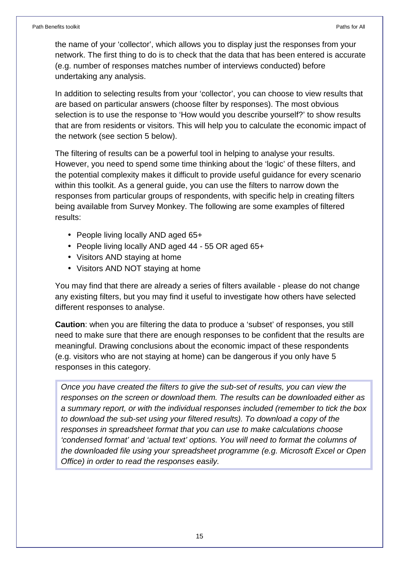the name of your 'collector', which allows you to display just the responses from your network. The first thing to do is to check that the data that has been entered is accurate (e.g. number of responses matches number of interviews conducted) before undertaking any analysis.

In addition to selecting results from your 'collector', you can choose to view results that are based on particular answers (choose filter by responses). The most obvious selection is to use the response to 'How would you describe yourself?' to show results that are from residents or visitors. This will help you to calculate the economic impact of the network (see section 5 below).

The filtering of results can be a powerful tool in helping to analyse your results. However, you need to spend some time thinking about the 'logic' of these filters, and the potential complexity makes it difficult to provide useful guidance for every scenario within this toolkit. As a general guide, you can use the filters to narrow down the responses from particular groups of respondents, with specific help in creating filters being available from Survey Monkey. The following are some examples of filtered results:

- People living locally AND aged 65+
- People living locally AND aged 44 55 OR aged 65+
- Visitors AND staying at home
- Visitors AND NOT staying at home

You may find that there are already a series of filters available - please do not change any existing filters, but you may find it useful to investigate how others have selected different responses to analyse.

**Caution**: when you are filtering the data to produce a 'subset' of responses, you still need to make sure that there are enough responses to be confident that the results are meaningful. Drawing conclusions about the economic impact of these respondents (e.g. visitors who are not staying at home) can be dangerous if you only have 5 responses in this category.

Once you have created the filters to give the sub-set of results, you can view the responses on the screen or download them. The results can be downloaded either as a summary report, or with the individual responses included (remember to tick the box to download the sub-set using your filtered results). To download a copy of the responses in spreadsheet format that you can use to make calculations choose 'condensed format' and 'actual text' options. You will need to format the columns of the downloaded file using your spreadsheet programme (e.g. Microsoft Excel or Open Office) in order to read the responses easily.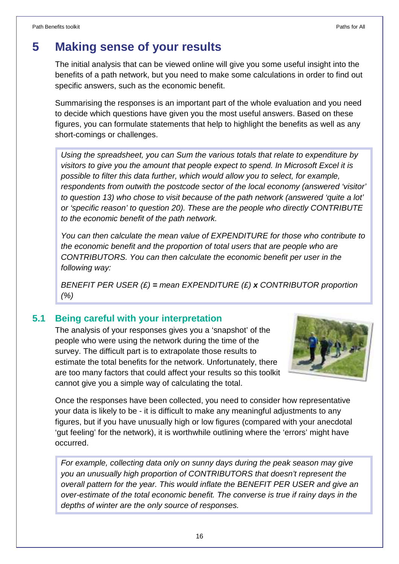## **5 Making sense of your results**

The initial analysis that can be viewed online will give you some useful insight into the benefits of a path network, but you need to make some calculations in order to find out specific answers, such as the economic benefit.

Summarising the responses is an important part of the whole evaluation and you need to decide which questions have given you the most useful answers. Based on these figures, you can formulate statements that help to highlight the benefits as well as any short-comings or challenges.

Using the spreadsheet, you can Sum the various totals that relate to expenditure by visitors to give you the amount that people expect to spend. In Microsoft Excel it is possible to filter this data further, which would allow you to select, for example, respondents from outwith the postcode sector of the local economy (answered 'visitor' to question 13) who chose to visit because of the path network (answered 'quite a lot' or 'specific reason' to question 20). These are the people who directly CONTRIBUTE to the economic benefit of the path network.

You can then calculate the mean value of EXPENDITURE for those who contribute to the economic benefit and the proportion of total users that are people who are CONTRIBUTORS. You can then calculate the economic benefit per user in the following way:

BENEFIT PER USER (£) **=** mean EXPENDITURE (£) **x** CONTRIBUTOR proportion (%)

#### **5.1 Being careful with your interpretation**

The analysis of your responses gives you a 'snapshot' of the people who were using the network during the time of the survey. The difficult part is to extrapolate those results to estimate the total benefits for the network. Unfortunately, there are too many factors that could affect your results so this toolkit cannot give you a simple way of calculating the total.



Once the responses have been collected, you need to consider how representative your data is likely to be - it is difficult to make any meaningful adjustments to any figures, but if you have unusually high or low figures (compared with your anecdotal 'gut feeling' for the network), it is worthwhile outlining where the 'errors' might have occurred.

For example, collecting data only on sunny days during the peak season may give you an unusually high proportion of CONTRIBUTORS that doesn't represent the overall pattern for the year. This would inflate the BENEFIT PER USER and give an over-estimate of the total economic benefit. The converse is true if rainy days in the depths of winter are the only source of responses.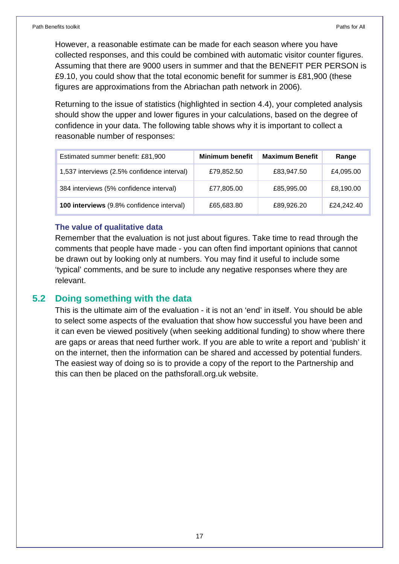However, a reasonable estimate can be made for each season where you have collected responses, and this could be combined with automatic visitor counter figures. Assuming that there are 9000 users in summer and that the BENEFIT PER PERSON is £9.10, you could show that the total economic benefit for summer is £81,900 (these figures are approximations from the Abriachan path network in 2006).

Returning to the issue of statistics (highlighted in section 4.4), your completed analysis should show the upper and lower figures in your calculations, based on the degree of confidence in your data. The following table shows why it is important to collect a reasonable number of responses:

| Estimated summer benefit: £81,900           | <b>Minimum benefit</b> | <b>Maximum Benefit</b> | Range      |
|---------------------------------------------|------------------------|------------------------|------------|
| 1,537 interviews (2.5% confidence interval) | £79,852.50             | £83,947.50             | £4,095.00  |
| 384 interviews (5% confidence interval)     | £77,805.00             | £85,995.00             | £8,190.00  |
| 100 interviews (9.8% confidence interval)   | £65,683.80             | £89,926.20             | £24,242.40 |

#### **The value of qualitative data**

Remember that the evaluation is not just about figures. Take time to read through the comments that people have made - you can often find important opinions that cannot be drawn out by looking only at numbers. You may find it useful to include some 'typical' comments, and be sure to include any negative responses where they are relevant.

#### **5.2 Doing something with the data**

This is the ultimate aim of the evaluation - it is not an 'end' in itself. You should be able to select some aspects of the evaluation that show how successful you have been and it can even be viewed positively (when seeking additional funding) to show where there are gaps or areas that need further work. If you are able to write a report and 'publish' it on the internet, then the information can be shared and accessed by potential funders. The easiest way of doing so is to provide a copy of the report to the Partnership and this can then be placed on the pathsforall.org.uk website.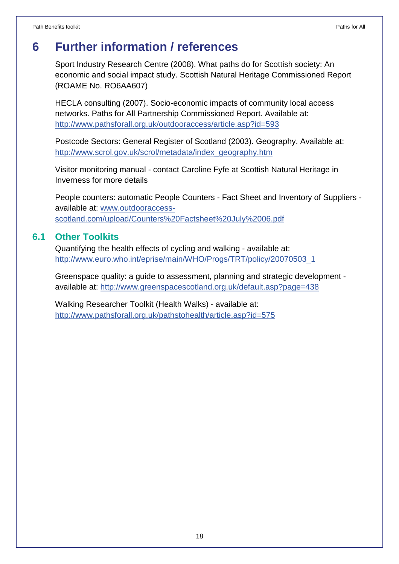## **6 Further information / references**

Sport Industry Research Centre (2008). What paths do for Scottish society: An economic and social impact study. Scottish Natural Heritage Commissioned Report (ROAME No. RO6AA607)

HECLA consulting (2007). Socio-economic impacts of community local access networks. Paths for All Partnership Commissioned Report. Available at: http://www.pathsforall.org.uk/outdooraccess/article.asp?id=593

Postcode Sectors: General Register of Scotland (2003). Geography. Available at: http://www.scrol.gov.uk/scrol/metadata/index\_geography.htm

Visitor monitoring manual - contact Caroline Fyfe at Scottish Natural Heritage in Inverness for more details

People counters: automatic People Counters - Fact Sheet and Inventory of Suppliers available at: www.outdooraccessscotland.com/upload/Counters%20Factsheet%20July%2006.pdf

#### **6.1 Other Toolkits**

Quantifying the health effects of cycling and walking - available at: http://www.euro.who.int/eprise/main/WHO/Progs/TRT/policy/20070503\_1

Greenspace quality: a guide to assessment, planning and strategic development available at: http://www.greenspacescotland.org.uk/default.asp?page=438

Walking Researcher Toolkit (Health Walks) - available at: http://www.pathsforall.org.uk/pathstohealth/article.asp?id=575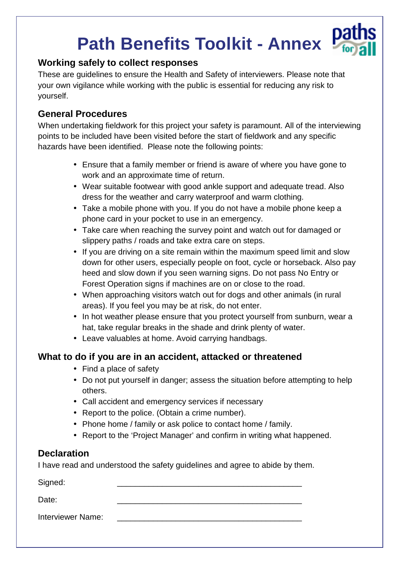# **Path Benefits Toolkit - Annex**

#### **Working safely to collect responses**

These are guidelines to ensure the Health and Safety of interviewers. Please note that your own vigilance while working with the public is essential for reducing any risk to yourself.

#### **General Procedures**

When undertaking fieldwork for this project your safety is paramount. All of the interviewing points to be included have been visited before the start of fieldwork and any specific hazards have been identified. Please note the following points:

- Ensure that a family member or friend is aware of where you have gone to work and an approximate time of return.
- Wear suitable footwear with good ankle support and adequate tread. Also dress for the weather and carry waterproof and warm clothing.
- Take a mobile phone with you. If you do not have a mobile phone keep a phone card in your pocket to use in an emergency.
- Take care when reaching the survey point and watch out for damaged or slippery paths / roads and take extra care on steps.
- If you are driving on a site remain within the maximum speed limit and slow down for other users, especially people on foot, cycle or horseback. Also pay heed and slow down if you seen warning signs. Do not pass No Entry or Forest Operation signs if machines are on or close to the road.
- When approaching visitors watch out for dogs and other animals (in rural areas). If you feel you may be at risk, do not enter.
- In hot weather please ensure that you protect yourself from sunburn, wear a hat, take regular breaks in the shade and drink plenty of water.
- Leave valuables at home. Avoid carrying handbags.

#### **What to do if you are in an accident, attacked or threatened**

- Find a place of safety
- Do not put yourself in danger; assess the situation before attempting to help others.
- Call accident and emergency services if necessary
- Report to the police. (Obtain a crime number).
- Phone home / family or ask police to contact home / family.
- Report to the 'Project Manager' and confirm in writing what happened.

#### **Declaration**

I have read and understood the safety guidelines and agree to abide by them.

Signed: \_\_\_\_\_\_\_\_\_\_\_\_\_\_\_\_\_\_\_\_\_\_\_\_\_\_\_\_\_\_\_\_\_\_\_\_\_\_\_\_\_

Date: \_\_\_\_\_\_\_\_\_\_\_\_\_\_\_\_\_\_\_\_\_\_\_\_\_\_\_\_\_\_\_\_\_\_\_\_\_\_\_\_\_

Interviewer Name: